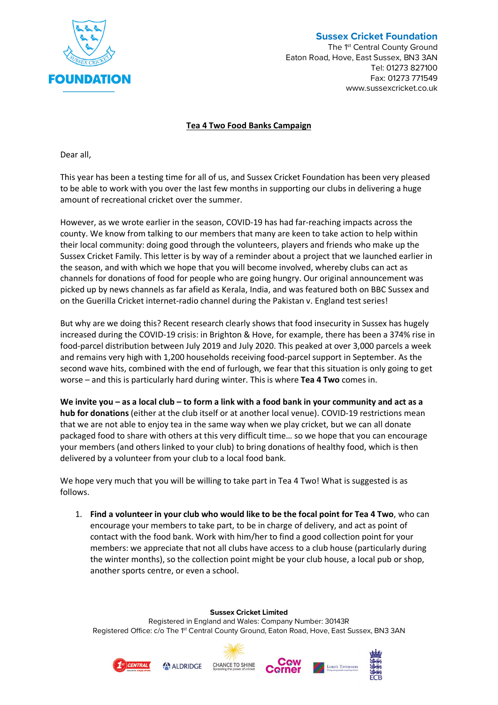

## **Sussex Cricket Foundation**

The 1<sup>st</sup> Central County Ground Eaton Road, Hove, East Sussex, BN3 3AN Tel: 01273 827100 Fax: 01273 771549 www.sussexcricket.co.uk

## **Tea 4 Two Food Banks Campaign**

Dear all,

This year has been a testing time for all of us, and Sussex Cricket Foundation has been very pleased to be able to work with you over the last few months in supporting our clubs in delivering a huge amount of recreational cricket over the summer.

However, as we wrote earlier in the season, COVID-19 has had far-reaching impacts across the county. We know from talking to our members that many are keen to take action to help within their local community: doing good through the volunteers, players and friends who make up the Sussex Cricket Family. This letter is by way of a reminder about a project that we launched earlier in the season, and with which we hope that you will become involved, whereby clubs can act as channels for donations of food for people who are going hungry. Our original announcement was picked up by news channels as far afield as Kerala, India, and was featured both on BBC Sussex and on the Guerilla Cricket internet-radio channel during the Pakistan v. England test series!

But why are we doing this? Recent research clearly shows that food insecurity in Sussex has hugely increased during the COVID-19 crisis: in Brighton & Hove, for example, there has been a 374% rise in food-parcel distribution between July 2019 and July 2020. This peaked at over 3,000 parcels a week and remains very high with 1,200 households receiving food-parcel support in September. As the second wave hits, combined with the end of furlough, we fear that this situation is only going to get worse – and this is particularly hard during winter. This is where **Tea 4 Two** comes in.

**We invite you – as a local club – to form a link with a food bank in your community and act as a hub for donations** (either at the club itself or at another local venue). COVID-19 restrictions mean that we are not able to enjoy tea in the same way when we play cricket, but we can all donate packaged food to share with others at this very difficult time… so we hope that you can encourage your members (and others linked to your club) to bring donations of healthy food, which is then delivered by a volunteer from your club to a local food bank.

We hope very much that you will be willing to take part in Tea 4 Two! What is suggested is as follows.

1. **Find a volunteer in your club who would like to be the focal point for Tea 4 Two**, who can encourage your members to take part, to be in charge of delivery, and act as point of contact with the food bank. Work with him/her to find a good collection point for your members: we appreciate that not all clubs have access to a club house (particularly during the winter months), so the collection point might be your club house, a local pub or shop, another sports centre, or even a school.

**Sussex Cricket Limited**

Registered in England and Wales: Company Number: 30143R Registered Office: c/o The 1<sup>st</sup> Central County Ground, Eaton Road, Hove, East Sussex, BN3 3AN









LORD'S TAVERNED